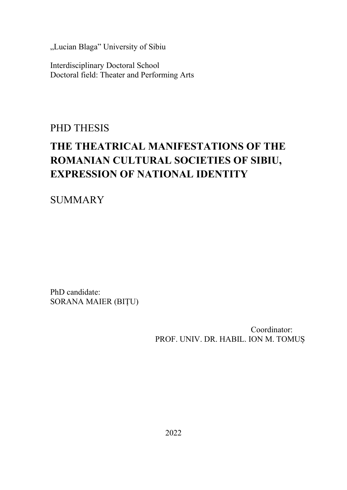"Lucian Blaga" University of Sibiu

Interdisciplinary Doctoral School Doctoral field: Theater and Performing Arts

PHD THESIS

# **THE THEATRICAL MANIFESTATIONS OF THE ROMANIAN CULTURAL SOCIETIES OF SIBIU, EXPRESSION OF NATIONAL IDENTITY**

SUMMARY

PhD candidate: SORANA MAIER (BIȚU)

> Coordinator: PROF. UNIV. DR. HABIL. ION M. TOMUȘ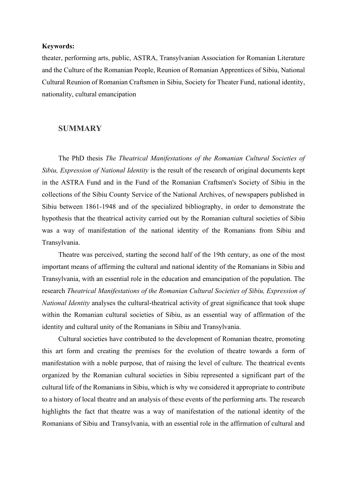#### **Keywords:**

theater, performing arts, public, ASTRA, Transylvanian Association for Romanian Literature and the Culture of the Romanian People, Reunion of Romanian Apprentices of Sibiu, National Cultural Reunion of Romanian Craftsmen in Sibiu, Society for Theater Fund, national identity, nationality, cultural emancipation

### **SUMMARY**

The PhD thesis *The Theatrical Manifestations of the Romanian Cultural Societies of Sibiu, Expression of National Identity* is the result of the research of original documents kept in the ASTRA Fund and in the Fund of the Romanian Craftsmen's Society of Sibiu in the collections of the Sibiu County Service of the National Archives, of newspapers published in Sibiu between 1861-1948 and of the specialized bibliography, in order to demonstrate the hypothesis that the theatrical activity carried out by the Romanian cultural societies of Sibiu was a way of manifestation of the national identity of the Romanians from Sibiu and Transylvania.

Theatre was perceived, starting the second half of the 19th century, as one of the most important means of affirming the cultural and national identity of the Romanians in Sibiu and Transylvania, with an essential role in the education and emancipation of the population. The research *Theatrical Manifestations of the Romanian Cultural Societies of Sibiu, Expression of National Identity* analyses the cultural-theatrical activity of great significance that took shape within the Romanian cultural societies of Sibiu, as an essential way of affirmation of the identity and cultural unity of the Romanians in Sibiu and Transylvania.

Cultural societies have contributed to the development of Romanian theatre, promoting this art form and creating the premises for the evolution of theatre towards a form of manifestation with a noble purpose, that of raising the level of culture. The theatrical events organized by the Romanian cultural societies in Sibiu represented a significant part of the cultural life of the Romanians in Sibiu, which is why we considered it appropriate to contribute to a history of local theatre and an analysis of these events of the performing arts. The research highlights the fact that theatre was a way of manifestation of the national identity of the Romanians of Sibiu and Transylvania, with an essential role in the affirmation of cultural and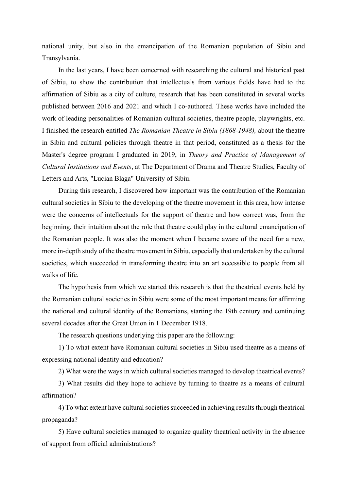national unity, but also in the emancipation of the Romanian population of Sibiu and Transylvania.

In the last years, I have been concerned with researching the cultural and historical past of Sibiu, to show the contribution that intellectuals from various fields have had to the affirmation of Sibiu as a city of culture, research that has been constituted in several works published between 2016 and 2021 and which I co-authored. These works have included the work of leading personalities of Romanian cultural societies, theatre people, playwrights, etc. I finished the research entitled *The Romanian Theatre in Sibiu (1868-1948),* about the theatre in Sibiu and cultural policies through theatre in that period, constituted as a thesis for the Master's degree program I graduated in 2019, in *Theory and Practice of Management of Cultural Institutions and Events*, at The Department of Drama and Theatre Studies, Faculty of Letters and Arts, "Lucian Blaga" University of Sibiu.

During this research, I discovered how important was the contribution of the Romanian cultural societies in Sibiu to the developing of the theatre movement in this area, how intense were the concerns of intellectuals for the support of theatre and how correct was, from the beginning, their intuition about the role that theatre could play in the cultural emancipation of the Romanian people. It was also the moment when I became aware of the need for a new, more in-depth study of the theatre movement in Sibiu, especially that undertaken by the cultural societies, which succeeded in transforming theatre into an art accessible to people from all walks of life.

The hypothesis from which we started this research is that the theatrical events held by the Romanian cultural societies in Sibiu were some of the most important means for affirming the national and cultural identity of the Romanians, starting the 19th century and continuing several decades after the Great Union in 1 December 1918.

The research questions underlying this paper are the following:

1) To what extent have Romanian cultural societies in Sibiu used theatre as a means of expressing national identity and education?

2) What were the ways in which cultural societies managed to develop theatrical events?

3) What results did they hope to achieve by turning to theatre as a means of cultural affirmation?

4) To what extent have cultural societies succeeded in achieving results through theatrical propaganda?

5) Have cultural societies managed to organize quality theatrical activity in the absence of support from official administrations?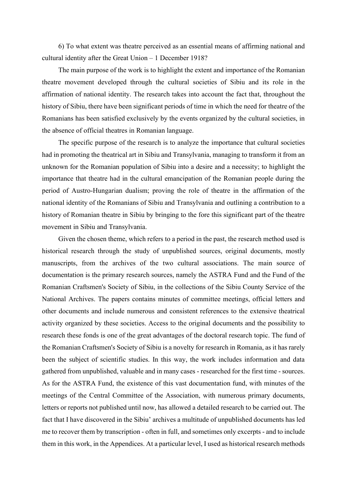6) To what extent was theatre perceived as an essential means of affirming national and cultural identity after the Great Union – 1 December 1918?

The main purpose of the work is to highlight the extent and importance of the Romanian theatre movement developed through the cultural societies of Sibiu and its role in the affirmation of national identity. The research takes into account the fact that, throughout the history of Sibiu, there have been significant periods of time in which the need for theatre of the Romanians has been satisfied exclusively by the events organized by the cultural societies, in the absence of official theatres in Romanian language.

The specific purpose of the research is to analyze the importance that cultural societies had in promoting the theatrical art in Sibiu and Transylvania, managing to transform it from an unknown for the Romanian population of Sibiu into a desire and a necessity; to highlight the importance that theatre had in the cultural emancipation of the Romanian people during the period of Austro-Hungarian dualism; proving the role of theatre in the affirmation of the national identity of the Romanians of Sibiu and Transylvania and outlining a contribution to a history of Romanian theatre in Sibiu by bringing to the fore this significant part of the theatre movement in Sibiu and Transylvania.

Given the chosen theme, which refers to a period in the past, the research method used is historical research through the study of unpublished sources, original documents, mostly manuscripts, from the archives of the two cultural associations. The main source of documentation is the primary research sources, namely the ASTRA Fund and the Fund of the Romanian Craftsmen's Society of Sibiu, in the collections of the Sibiu County Service of the National Archives. The papers contains minutes of committee meetings, official letters and other documents and include numerous and consistent references to the extensive theatrical activity organized by these societies. Access to the original documents and the possibility to research these fonds is one of the great advantages of the doctoral research topic. The fund of the Romanian Craftsmen's Society of Sibiu is a novelty for research in Romania, as it has rarely been the subject of scientific studies. In this way, the work includes information and data gathered from unpublished, valuable and in many cases - researched for the first time - sources. As for the ASTRA Fund, the existence of this vast documentation fund, with minutes of the meetings of the Central Committee of the Association, with numerous primary documents, letters or reports not published until now, has allowed a detailed research to be carried out. The fact that I have discovered in the Sibiu' archives a multitude of unpublished documents has led me to recover them by transcription - often in full, and sometimes only excerpts - and to include them in this work, in the Appendices. At a particular level, I used as historical research methods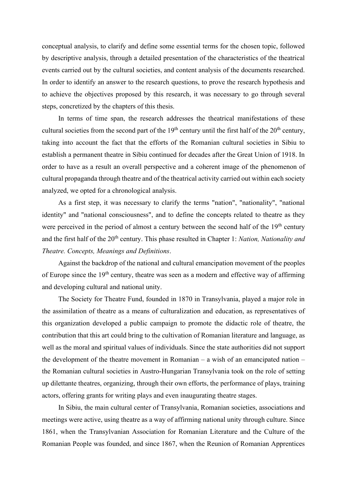conceptual analysis, to clarify and define some essential terms for the chosen topic, followed by descriptive analysis, through a detailed presentation of the characteristics of the theatrical events carried out by the cultural societies, and content analysis of the documents researched. In order to identify an answer to the research questions, to prove the research hypothesis and to achieve the objectives proposed by this research, it was necessary to go through several steps, concretized by the chapters of this thesis.

In terms of time span, the research addresses the theatrical manifestations of these cultural societies from the second part of the  $19<sup>th</sup>$  century until the first half of the  $20<sup>th</sup>$  century, taking into account the fact that the efforts of the Romanian cultural societies in Sibiu to establish a permanent theatre in Sibiu continued for decades after the Great Union of 1918. In order to have as a result an overall perspective and a coherent image of the phenomenon of cultural propaganda through theatre and of the theatrical activity carried out within each society analyzed, we opted for a chronological analysis.

As a first step, it was necessary to clarify the terms "nation", "nationality", "national identity" and "national consciousness", and to define the concepts related to theatre as they were perceived in the period of almost a century between the second half of the  $19<sup>th</sup>$  century and the first half of the 20<sup>th</sup> century. This phase resulted in Chapter 1: *Nation, Nationality and Theatre. Concepts, Meanings and Definitions*.

Against the backdrop of the national and cultural emancipation movement of the peoples of Europe since the 19<sup>th</sup> century, theatre was seen as a modern and effective way of affirming and developing cultural and national unity.

The Society for Theatre Fund, founded in 1870 in Transylvania, played a major role in the assimilation of theatre as a means of culturalization and education, as representatives of this organization developed a public campaign to promote the didactic role of theatre, the contribution that this art could bring to the cultivation of Romanian literature and language, as well as the moral and spiritual values of individuals. Since the state authorities did not support the development of the theatre movement in Romanian – a wish of an emancipated nation – the Romanian cultural societies in Austro-Hungarian Transylvania took on the role of setting up dilettante theatres, organizing, through their own efforts, the performance of plays, training actors, offering grants for writing plays and even inaugurating theatre stages.

In Sibiu, the main cultural center of Transylvania, Romanian societies, associations and meetings were active, using theatre as a way of affirming national unity through culture. Since 1861, when the Transylvanian Association for Romanian Literature and the Culture of the Romanian People was founded, and since 1867, when the Reunion of Romanian Apprentices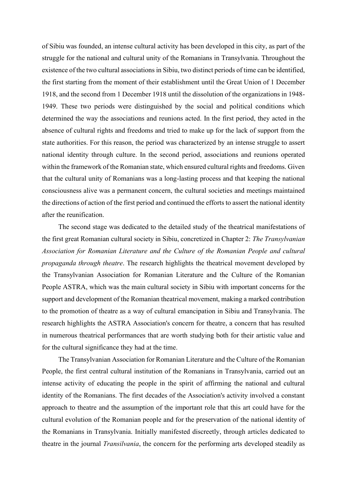of Sibiu was founded, an intense cultural activity has been developed in this city, as part of the struggle for the national and cultural unity of the Romanians in Transylvania. Throughout the existence of the two cultural associations in Sibiu, two distinct periods of time can be identified, the first starting from the moment of their establishment until the Great Union of 1 December 1918, and the second from 1 December 1918 until the dissolution of the organizations in 1948- 1949. These two periods were distinguished by the social and political conditions which determined the way the associations and reunions acted. In the first period, they acted in the absence of cultural rights and freedoms and tried to make up for the lack of support from the state authorities. For this reason, the period was characterized by an intense struggle to assert national identity through culture. In the second period, associations and reunions operated within the framework of the Romanian state, which ensured cultural rights and freedoms. Given that the cultural unity of Romanians was a long-lasting process and that keeping the national consciousness alive was a permanent concern, the cultural societies and meetings maintained the directions of action of the first period and continued the efforts to assert the national identity after the reunification.

The second stage was dedicated to the detailed study of the theatrical manifestations of the first great Romanian cultural society in Sibiu, concretized in Chapter 2: *The Transylvanian Association for Romanian Literature and the Culture of the Romanian People and cultural propaganda through theatre*. The research highlights the theatrical movement developed by the Transylvanian Association for Romanian Literature and the Culture of the Romanian People ASTRA, which was the main cultural society in Sibiu with important concerns for the support and development of the Romanian theatrical movement, making a marked contribution to the promotion of theatre as a way of cultural emancipation in Sibiu and Transylvania. The research highlights the ASTRA Association's concern for theatre, a concern that has resulted in numerous theatrical performances that are worth studying both for their artistic value and for the cultural significance they had at the time.

The Transylvanian Association for Romanian Literature and the Culture of the Romanian People, the first central cultural institution of the Romanians in Transylvania, carried out an intense activity of educating the people in the spirit of affirming the national and cultural identity of the Romanians. The first decades of the Association's activity involved a constant approach to theatre and the assumption of the important role that this art could have for the cultural evolution of the Romanian people and for the preservation of the national identity of the Romanians in Transylvania. Initially manifested discreetly, through articles dedicated to theatre in the journal *Transilvania*, the concern for the performing arts developed steadily as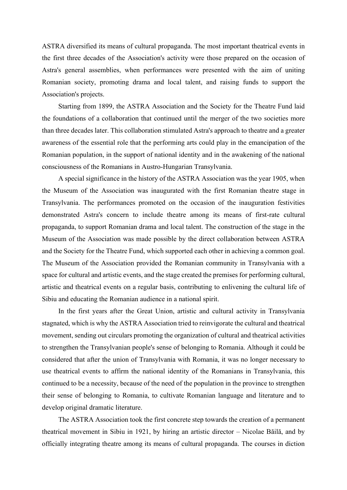ASTRA diversified its means of cultural propaganda. The most important theatrical events in the first three decades of the Association's activity were those prepared on the occasion of Astra's general assemblies, when performances were presented with the aim of uniting Romanian society, promoting drama and local talent, and raising funds to support the Association's projects.

Starting from 1899, the ASTRA Association and the Society for the Theatre Fund laid the foundations of a collaboration that continued until the merger of the two societies more than three decades later. This collaboration stimulated Astra's approach to theatre and a greater awareness of the essential role that the performing arts could play in the emancipation of the Romanian population, in the support of national identity and in the awakening of the national consciousness of the Romanians in Austro-Hungarian Transylvania.

A special significance in the history of the ASTRA Association was the year 1905, when the Museum of the Association was inaugurated with the first Romanian theatre stage in Transylvania. The performances promoted on the occasion of the inauguration festivities demonstrated Astra's concern to include theatre among its means of first-rate cultural propaganda, to support Romanian drama and local talent. The construction of the stage in the Museum of the Association was made possible by the direct collaboration between ASTRA and the Society for the Theatre Fund, which supported each other in achieving a common goal. The Museum of the Association provided the Romanian community in Transylvania with a space for cultural and artistic events, and the stage created the premises for performing cultural, artistic and theatrical events on a regular basis, contributing to enlivening the cultural life of Sibiu and educating the Romanian audience in a national spirit.

In the first years after the Great Union, artistic and cultural activity in Transylvania stagnated, which is why the ASTRA Association tried to reinvigorate the cultural and theatrical movement, sending out circulars promoting the organization of cultural and theatrical activities to strengthen the Transylvanian people's sense of belonging to Romania. Although it could be considered that after the union of Transylvania with Romania, it was no longer necessary to use theatrical events to affirm the national identity of the Romanians in Transylvania, this continued to be a necessity, because of the need of the population in the province to strengthen their sense of belonging to Romania, to cultivate Romanian language and literature and to develop original dramatic literature.

The ASTRA Association took the first concrete step towards the creation of a permanent theatrical movement in Sibiu in 1921, by hiring an artistic director – Nicolae Băilă, and by officially integrating theatre among its means of cultural propaganda. The courses in diction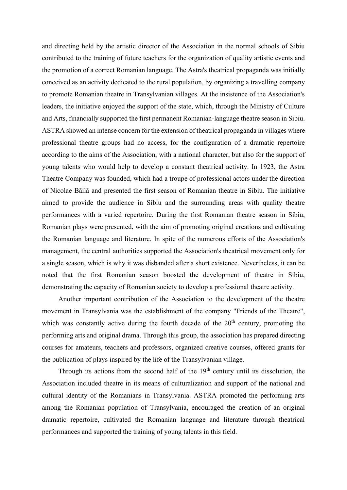and directing held by the artistic director of the Association in the normal schools of Sibiu contributed to the training of future teachers for the organization of quality artistic events and the promotion of a correct Romanian language. The Astra's theatrical propaganda was initially conceived as an activity dedicated to the rural population, by organizing a travelling company to promote Romanian theatre in Transylvanian villages. At the insistence of the Association's leaders, the initiative enjoyed the support of the state, which, through the Ministry of Culture and Arts, financially supported the first permanent Romanian-language theatre season in Sibiu. ASTRA showed an intense concern for the extension of theatrical propaganda in villages where professional theatre groups had no access, for the configuration of a dramatic repertoire according to the aims of the Association, with a national character, but also for the support of young talents who would help to develop a constant theatrical activity. In 1923, the Astra Theatre Company was founded, which had a troupe of professional actors under the direction of Nicolae Băilă and presented the first season of Romanian theatre in Sibiu. The initiative aimed to provide the audience in Sibiu and the surrounding areas with quality theatre performances with a varied repertoire. During the first Romanian theatre season in Sibiu, Romanian plays were presented, with the aim of promoting original creations and cultivating the Romanian language and literature. In spite of the numerous efforts of the Association's management, the central authorities supported the Association's theatrical movement only for a single season, which is why it was disbanded after a short existence. Nevertheless, it can be noted that the first Romanian season boosted the development of theatre in Sibiu, demonstrating the capacity of Romanian society to develop a professional theatre activity.

Another important contribution of the Association to the development of the theatre movement in Transylvania was the establishment of the company "Friends of the Theatre", which was constantly active during the fourth decade of the  $20<sup>th</sup>$  century, promoting the performing arts and original drama. Through this group, the association has prepared directing courses for amateurs, teachers and professors, organized creative courses, offered grants for the publication of plays inspired by the life of the Transylvanian village.

Through its actions from the second half of the  $19<sup>th</sup>$  century until its dissolution, the Association included theatre in its means of culturalization and support of the national and cultural identity of the Romanians in Transylvania. ASTRA promoted the performing arts among the Romanian population of Transylvania, encouraged the creation of an original dramatic repertoire, cultivated the Romanian language and literature through theatrical performances and supported the training of young talents in this field.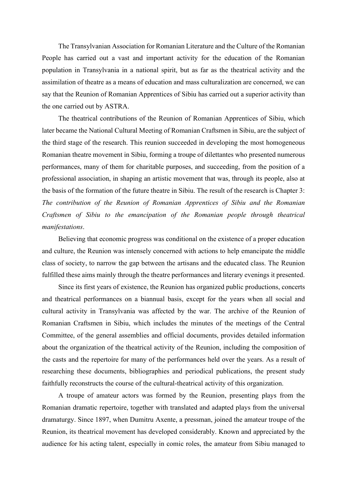The Transylvanian Association for Romanian Literature and the Culture of the Romanian People has carried out a vast and important activity for the education of the Romanian population in Transylvania in a national spirit, but as far as the theatrical activity and the assimilation of theatre as a means of education and mass culturalization are concerned, we can say that the Reunion of Romanian Apprentices of Sibiu has carried out a superior activity than the one carried out by ASTRA.

The theatrical contributions of the Reunion of Romanian Apprentices of Sibiu, which later became the National Cultural Meeting of Romanian Craftsmen in Sibiu, are the subject of the third stage of the research. This reunion succeeded in developing the most homogeneous Romanian theatre movement in Sibiu, forming a troupe of dilettantes who presented numerous performances, many of them for charitable purposes, and succeeding, from the position of a professional association, in shaping an artistic movement that was, through its people, also at the basis of the formation of the future theatre in Sibiu. The result of the research is Chapter 3: *The contribution of the Reunion of Romanian Apprentices of Sibiu and the Romanian Craftsmen of Sibiu to the emancipation of the Romanian people through theatrical manifestations*.

Believing that economic progress was conditional on the existence of a proper education and culture, the Reunion was intensely concerned with actions to help emancipate the middle class of society, to narrow the gap between the artisans and the educated class. The Reunion fulfilled these aims mainly through the theatre performances and literary evenings it presented.

Since its first years of existence, the Reunion has organized public productions, concerts and theatrical performances on a biannual basis, except for the years when all social and cultural activity in Transylvania was affected by the war. The archive of the Reunion of Romanian Craftsmen in Sibiu, which includes the minutes of the meetings of the Central Committee, of the general assemblies and official documents, provides detailed information about the organization of the theatrical activity of the Reunion, including the composition of the casts and the repertoire for many of the performances held over the years. As a result of researching these documents, bibliographies and periodical publications, the present study faithfully reconstructs the course of the cultural-theatrical activity of this organization.

A troupe of amateur actors was formed by the Reunion, presenting plays from the Romanian dramatic repertoire, together with translated and adapted plays from the universal dramaturgy. Since 1897, when Dumitru Axente, a pressman, joined the amateur troupe of the Reunion, its theatrical movement has developed considerably. Known and appreciated by the audience for his acting talent, especially in comic roles, the amateur from Sibiu managed to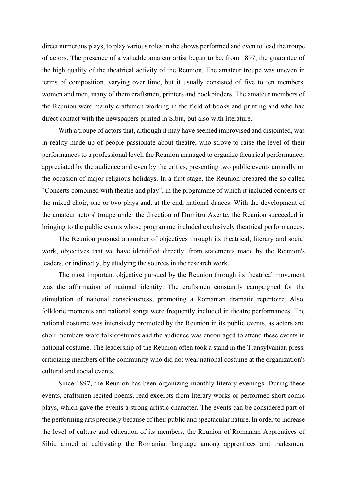direct numerous plays, to play various roles in the shows performed and even to lead the troupe of actors. The presence of a valuable amateur artist began to be, from 1897, the guarantee of the high quality of the theatrical activity of the Reunion. The amateur troupe was uneven in terms of composition, varying over time, but it usually consisted of five to ten members, women and men, many of them craftsmen, printers and bookbinders. The amateur members of the Reunion were mainly craftsmen working in the field of books and printing and who had direct contact with the newspapers printed in Sibiu, but also with literature.

With a troupe of actors that, although it may have seemed improvised and disjointed, was in reality made up of people passionate about theatre, who strove to raise the level of their performances to a professional level, the Reunion managed to organize theatrical performances appreciated by the audience and even by the critics, presenting two public events annually on the occasion of major religious holidays. In a first stage, the Reunion prepared the so-called "Concerts combined with theatre and play", in the programme of which it included concerts of the mixed choir, one or two plays and, at the end, national dances. With the development of the amateur actors' troupe under the direction of Dumitru Axente, the Reunion succeeded in bringing to the public events whose programme included exclusively theatrical performances.

The Reunion pursued a number of objectives through its theatrical, literary and social work, objectives that we have identified directly, from statements made by the Reunion's leaders, or indirectly, by studying the sources in the research work.

The most important objective pursued by the Reunion through its theatrical movement was the affirmation of national identity. The craftsmen constantly campaigned for the stimulation of national consciousness, promoting a Romanian dramatic repertoire. Also, folkloric moments and national songs were frequently included in theatre performances. The national costume was intensively promoted by the Reunion in its public events, as actors and choir members wore folk costumes and the audience was encouraged to attend these events in national costume. The leadership of the Reunion often took a stand in the Transylvanian press, criticizing members of the community who did not wear national costume at the organization's cultural and social events.

Since 1897, the Reunion has been organizing monthly literary evenings. During these events, craftsmen recited poems, read excerpts from literary works or performed short comic plays, which gave the events a strong artistic character. The events can be considered part of the performing arts precisely because of their public and spectacular nature. In order to increase the level of culture and education of its members, the Reunion of Romanian Apprentices of Sibiu aimed at cultivating the Romanian language among apprentices and tradesmen,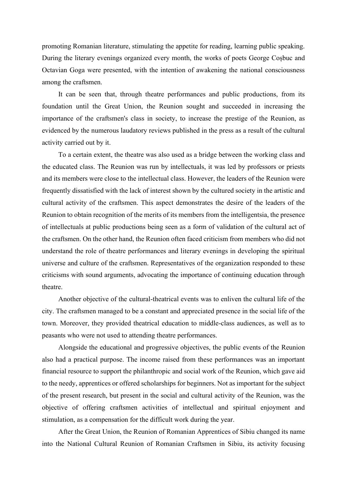promoting Romanian literature, stimulating the appetite for reading, learning public speaking. During the literary evenings organized every month, the works of poets George Coșbuc and Octavian Goga were presented, with the intention of awakening the national consciousness among the craftsmen.

It can be seen that, through theatre performances and public productions, from its foundation until the Great Union, the Reunion sought and succeeded in increasing the importance of the craftsmen's class in society, to increase the prestige of the Reunion, as evidenced by the numerous laudatory reviews published in the press as a result of the cultural activity carried out by it.

To a certain extent, the theatre was also used as a bridge between the working class and the educated class. The Reunion was run by intellectuals, it was led by professors or priests and its members were close to the intellectual class. However, the leaders of the Reunion were frequently dissatisfied with the lack of interest shown by the cultured society in the artistic and cultural activity of the craftsmen. This aspect demonstrates the desire of the leaders of the Reunion to obtain recognition of the merits of its members from the intelligentsia, the presence of intellectuals at public productions being seen as a form of validation of the cultural act of the craftsmen. On the other hand, the Reunion often faced criticism from members who did not understand the role of theatre performances and literary evenings in developing the spiritual universe and culture of the craftsmen. Representatives of the organization responded to these criticisms with sound arguments, advocating the importance of continuing education through theatre.

Another objective of the cultural-theatrical events was to enliven the cultural life of the city. The craftsmen managed to be a constant and appreciated presence in the social life of the town. Moreover, they provided theatrical education to middle-class audiences, as well as to peasants who were not used to attending theatre performances.

Alongside the educational and progressive objectives, the public events of the Reunion also had a practical purpose. The income raised from these performances was an important financial resource to support the philanthropic and social work of the Reunion, which gave aid to the needy, apprentices or offered scholarships for beginners. Not as important for the subject of the present research, but present in the social and cultural activity of the Reunion, was the objective of offering craftsmen activities of intellectual and spiritual enjoyment and stimulation, as a compensation for the difficult work during the year.

After the Great Union, the Reunion of Romanian Apprentices of Sibiu changed its name into the National Cultural Reunion of Romanian Craftsmen in Sibiu, its activity focusing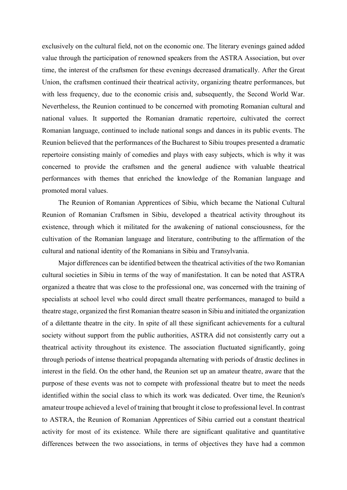exclusively on the cultural field, not on the economic one. The literary evenings gained added value through the participation of renowned speakers from the ASTRA Association, but over time, the interest of the craftsmen for these evenings decreased dramatically. After the Great Union, the craftsmen continued their theatrical activity, organizing theatre performances, but with less frequency, due to the economic crisis and, subsequently, the Second World War. Nevertheless, the Reunion continued to be concerned with promoting Romanian cultural and national values. It supported the Romanian dramatic repertoire, cultivated the correct Romanian language, continued to include national songs and dances in its public events. The Reunion believed that the performances of the Bucharest to Sibiu troupes presented a dramatic repertoire consisting mainly of comedies and plays with easy subjects, which is why it was concerned to provide the craftsmen and the general audience with valuable theatrical performances with themes that enriched the knowledge of the Romanian language and promoted moral values.

The Reunion of Romanian Apprentices of Sibiu, which became the National Cultural Reunion of Romanian Craftsmen in Sibiu, developed a theatrical activity throughout its existence, through which it militated for the awakening of national consciousness, for the cultivation of the Romanian language and literature, contributing to the affirmation of the cultural and national identity of the Romanians in Sibiu and Transylvania.

Major differences can be identified between the theatrical activities of the two Romanian cultural societies in Sibiu in terms of the way of manifestation. It can be noted that ASTRA organized a theatre that was close to the professional one, was concerned with the training of specialists at school level who could direct small theatre performances, managed to build a theatre stage, organized the first Romanian theatre season in Sibiu and initiated the organization of a dilettante theatre in the city. In spite of all these significant achievements for a cultural society without support from the public authorities, ASTRA did not consistently carry out a theatrical activity throughout its existence. The association fluctuated significantly, going through periods of intense theatrical propaganda alternating with periods of drastic declines in interest in the field. On the other hand, the Reunion set up an amateur theatre, aware that the purpose of these events was not to compete with professional theatre but to meet the needs identified within the social class to which its work was dedicated. Over time, the Reunion's amateur troupe achieved a level of training that brought it close to professional level. In contrast to ASTRA, the Reunion of Romanian Apprentices of Sibiu carried out a constant theatrical activity for most of its existence. While there are significant qualitative and quantitative differences between the two associations, in terms of objectives they have had a common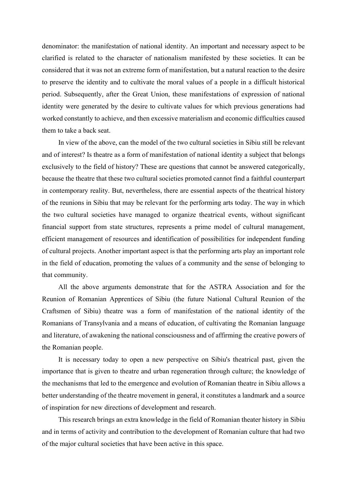denominator: the manifestation of national identity. An important and necessary aspect to be clarified is related to the character of nationalism manifested by these societies. It can be considered that it was not an extreme form of manifestation, but a natural reaction to the desire to preserve the identity and to cultivate the moral values of a people in a difficult historical period. Subsequently, after the Great Union, these manifestations of expression of national identity were generated by the desire to cultivate values for which previous generations had worked constantly to achieve, and then excessive materialism and economic difficulties caused them to take a back seat.

In view of the above, can the model of the two cultural societies in Sibiu still be relevant and of interest? Is theatre as a form of manifestation of national identity a subject that belongs exclusively to the field of history? These are questions that cannot be answered categorically, because the theatre that these two cultural societies promoted cannot find a faithful counterpart in contemporary reality. But, nevertheless, there are essential aspects of the theatrical history of the reunions in Sibiu that may be relevant for the performing arts today. The way in which the two cultural societies have managed to organize theatrical events, without significant financial support from state structures, represents a prime model of cultural management, efficient management of resources and identification of possibilities for independent funding of cultural projects. Another important aspect is that the performing arts play an important role in the field of education, promoting the values of a community and the sense of belonging to that community.

All the above arguments demonstrate that for the ASTRA Association and for the Reunion of Romanian Apprentices of Sibiu (the future National Cultural Reunion of the Craftsmen of Sibiu) theatre was a form of manifestation of the national identity of the Romanians of Transylvania and a means of education, of cultivating the Romanian language and literature, of awakening the national consciousness and of affirming the creative powers of the Romanian people.

It is necessary today to open a new perspective on Sibiu's theatrical past, given the importance that is given to theatre and urban regeneration through culture; the knowledge of the mechanisms that led to the emergence and evolution of Romanian theatre in Sibiu allows a better understanding of the theatre movement in general, it constitutes a landmark and a source of inspiration for new directions of development and research.

This research brings an extra knowledge in the field of Romanian theater history in Sibiu and in terms of activity and contribution to the development of Romanian culture that had two of the major cultural societies that have been active in this space.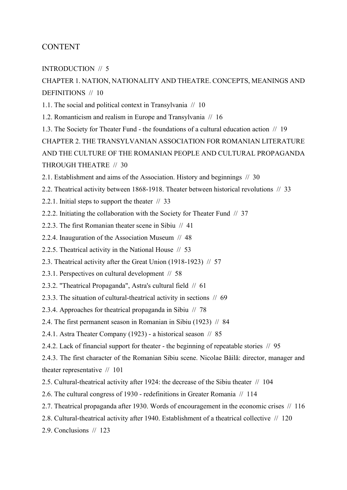## CONTENT

## INTRODUCTION // 5

## CHAPTER 1. NATION, NATIONALITY AND THEATRE. CONCEPTS, MEANINGS AND DEFINITIONS // 10

1.1. The social and political context in Transylvania // 10

- 1.2. Romanticism and realism in Europe and Transylvania // 16
- 1.3. The Society for Theater Fund the foundations of a cultural education action // 19

CHAPTER 2. THE TRANSYLVANIAN ASSOCIATION FOR ROMANIAN LITERATURE AND THE CULTURE OF THE ROMANIAN PEOPLE AND CULTURAL PROPAGANDA THROUGH THEATRE // 30

2.1. Establishment and aims of the Association. History and beginnings // 30

2.2. Theatrical activity between 1868-1918. Theater between historical revolutions // 33

- 2.2.1. Initial steps to support the theater // 33
- 2.2.2. Initiating the collaboration with the Society for Theater Fund  $// 37$
- 2.2.3. The first Romanian theater scene in Sibiu // 41
- 2.2.4. Inauguration of the Association Museum // 48
- 2.2.5. Theatrical activity in the National House // 53
- 2.3. Theatrical activity after the Great Union (1918-1923) // 57
- 2.3.1. Perspectives on cultural development // 58
- 2.3.2. "Theatrical Propaganda", Astra's cultural field // 61
- 2.3.3. The situation of cultural-theatrical activity in sections // 69
- 2.3.4. Approaches for theatrical propaganda in Sibiu // 78
- 2.4. The first permanent season in Romanian in Sibiu (1923) // 84
- 2.4.1. Astra Theater Company (1923) a historical season // 85
- 2.4.2. Lack of financial support for theater the beginning of repeatable stories // 95

2.4.3. The first character of the Romanian Sibiu scene. Nicolae Băilă: director, manager and theater representative // 101

- 2.5. Cultural-theatrical activity after 1924: the decrease of the Sibiu theater // 104
- 2.6. The cultural congress of 1930 redefinitions in Greater Romania // 114
- 2.7. Theatrical propaganda after 1930. Words of encouragement in the economic crises // 116
- 2.8. Cultural-theatrical activity after 1940. Establishment of a theatrical collective  $// 120$
- 2.9. Conclusions // 123